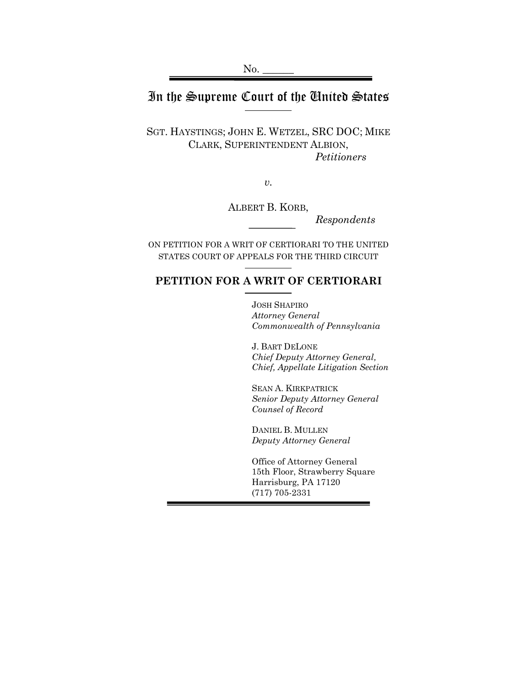# In the Supreme Court of the United States

SGT. HAYSTINGS; JOHN E. WETZEL, SRC DOC; MIKE CLARK, SUPERINTENDENT ALBION, *Petitioners*

*v.*

ALBERT B. KORB,

*Respondents*

ON PETITION FOR A WRIT OF CERTIORARI TO THE UNITED STATES COURT OF APPEALS FOR THE THIRD CIRCUIT

## **PETITION FOR A WRIT OF CERTIORARI**

JOSH SHAPIRO *Attorney General Commonwealth of Pennsylvania*

J. BART DELONE *Chief Deputy Attorney General, Chief, Appellate Litigation Section*

SEAN A. KIRKPATRICK *Senior Deputy Attorney General Counsel of Record*

DANIEL B. MULLEN *Deputy Attorney General*

Office of Attorney General 15th Floor, Strawberry Square Harrisburg, PA 17120 (717) 705-2331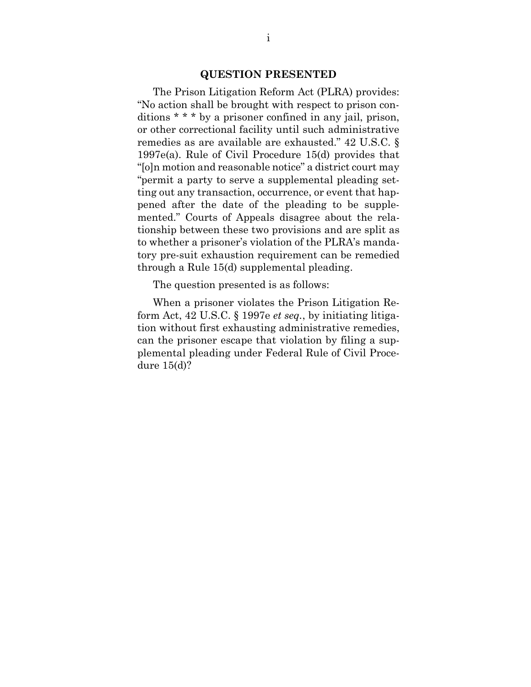#### **QUESTION PRESENTED**

<span id="page-1-0"></span>The Prison Litigation Reform Act (PLRA) provides: "No action shall be brought with respect to prison conditions \* \* \* by a prisoner confined in any jail, prison, or other correctional facility until such administrative remedies as are available are exhausted." 42 U.S.C. § 1997e(a). Rule of Civil Procedure 15(d) provides that "[o]n motion and reasonable notice" a district court may "permit a party to serve a supplemental pleading setting out any transaction, occurrence, or event that happened after the date of the pleading to be supplemented." Courts of Appeals disagree about the relationship between these two provisions and are split as to whether a prisoner's violation of the PLRA's mandatory pre-suit exhaustion requirement can be remedied through a Rule 15(d) supplemental pleading.

The question presented is as follows:

When a prisoner violates the Prison Litigation Reform Act, 42 U.S.C. § 1997e *et seq.*, by initiating litigation without first exhausting administrative remedies, can the prisoner escape that violation by filing a supplemental pleading under Federal Rule of Civil Procedure 15(d)?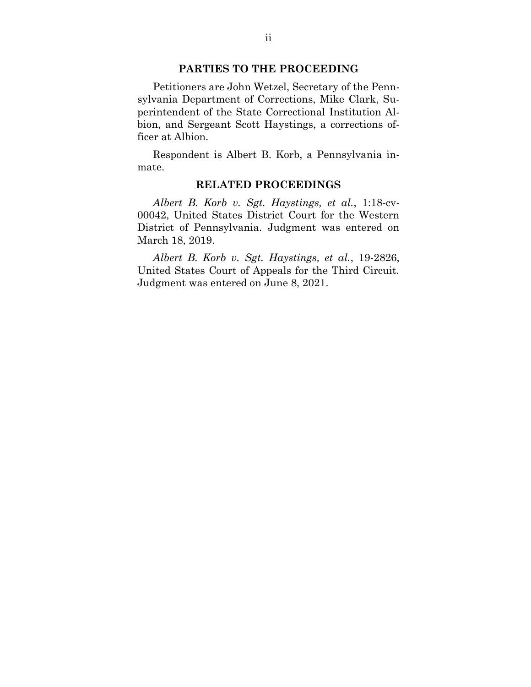#### **PARTIES TO THE PROCEEDING**

<span id="page-2-0"></span>Petitioners are John Wetzel, Secretary of the Pennsylvania Department of Corrections, Mike Clark, Superintendent of the State Correctional Institution Albion, and Sergeant Scott Haystings, a corrections officer at Albion.

<span id="page-2-1"></span>Respondent is Albert B. Korb, a Pennsylvania inmate.

#### **RELATED PROCEEDINGS**

*Albert B. Korb v. Sgt. Haystings, et al.*, 1:18-cv-00042, United States District Court for the Western District of Pennsylvania. Judgment was entered on March 18, 2019.

*Albert B. Korb v. Sgt. Haystings, et al.*, 19-2826, United States Court of Appeals for the Third Circuit. Judgment was entered on June 8, 2021.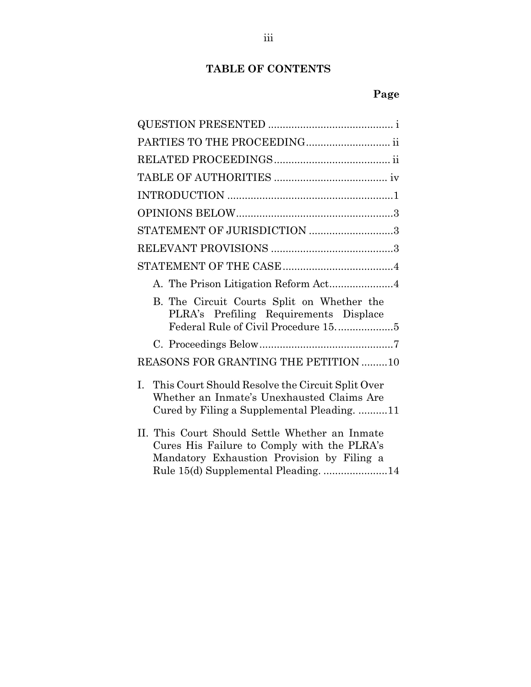# **TABLE OF CONTENTS**

# **Page**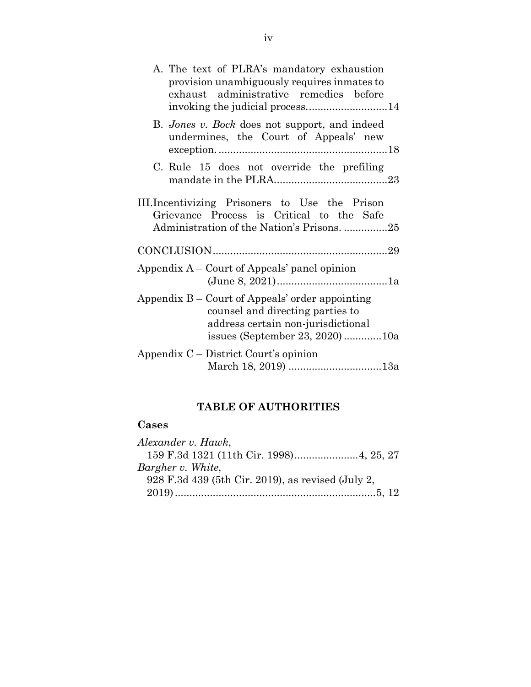| A. The text of PLRA's mandatory exhaustion<br>provision unambiguously requires inmates to<br>exhaust administrative remedies before                          |
|--------------------------------------------------------------------------------------------------------------------------------------------------------------|
| B. Jones v. Bock does not support, and indeed<br>undermines, the Court of Appeals' new                                                                       |
| C. Rule 15 does not override the prefiling                                                                                                                   |
| III. Incentivizing Prisoners to Use the Prison<br>Grievance Process is Critical to the Safe<br>Administration of the Nation's Prisons. 25                    |
|                                                                                                                                                              |
| Appendix $A -$ Court of Appeals' panel opinion                                                                                                               |
| Appendix B – Court of Appeals' order appointing<br>counsel and directing parties to<br>address certain non-jurisdictional<br>issues (September 23, 2020) 10a |
| Appendix $C$ – District Court's opinion<br>March 18, 2019) 13a                                                                                               |

# **TABLE OF AUTHORITIES**

# <span id="page-4-0"></span>**Cases**

| Alexander v. Hawk,                                |  |
|---------------------------------------------------|--|
| 159 F.3d 1321 (11th Cir. 1998) 4, 25, 27          |  |
| Bargher v. White,                                 |  |
| 928 F.3d 439 (5th Cir. 2019), as revised (July 2, |  |
|                                                   |  |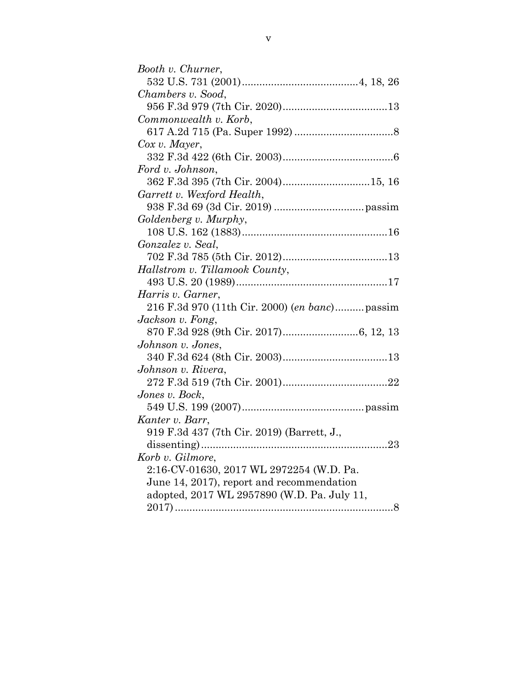| Booth v. Churner,                              |  |
|------------------------------------------------|--|
|                                                |  |
| Chambers v. Sood,                              |  |
|                                                |  |
| Commonwealth v. Korb,                          |  |
|                                                |  |
| $Cox$ v. Mayer,                                |  |
|                                                |  |
| Ford v. Johnson,                               |  |
| 362 F.3d 395 (7th Cir. 2004)15, 16             |  |
| Garrett v. Wexford Health,                     |  |
|                                                |  |
| Goldenberg v. Murphy,                          |  |
|                                                |  |
| Gonzalez v. Seal,                              |  |
|                                                |  |
| Hallstrom v. Tillamook County,                 |  |
|                                                |  |
| Harris v. Garner,                              |  |
| 216 F.3d 970 (11th Cir. 2000) (en banc) passim |  |
| Jackson v. Fong,                               |  |
|                                                |  |
| Johnson v. Jones,                              |  |
|                                                |  |
| Johnson v. Rivera,                             |  |
|                                                |  |
| Jones v. Bock,                                 |  |
|                                                |  |
| Kanter v. Barr,                                |  |
| 919 F.3d 437 (7th Cir. 2019) (Barrett, J.,     |  |
|                                                |  |
| Korb v. Gilmore,                               |  |
| 2:16-CV-01630, 2017 WL 2972254 (W.D. Pa.       |  |
| June 14, 2017), report and recommendation      |  |
| adopted, 2017 WL 2957890 (W.D. Pa. July 11,    |  |
|                                                |  |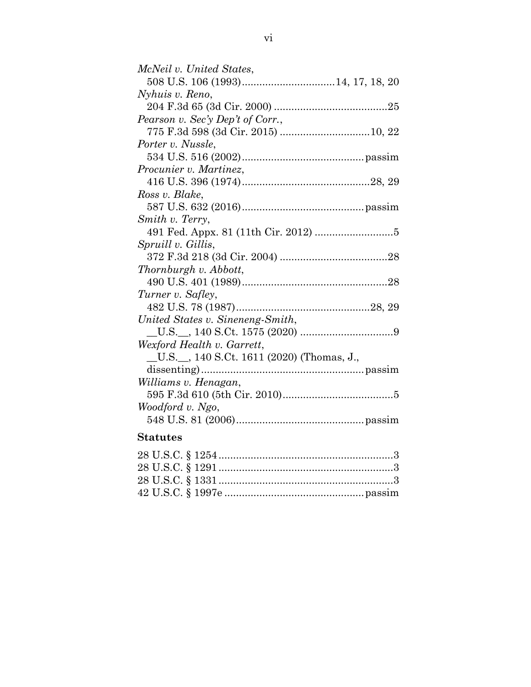| McNeil v. United States,                   |  |
|--------------------------------------------|--|
|                                            |  |
| Nyhuis v. Reno,                            |  |
|                                            |  |
| Pearson v. Sec'y Dep't of Corr.,           |  |
|                                            |  |
| Porter v. Nussle,                          |  |
|                                            |  |
| <i>Procunier v. Martinez,</i>              |  |
|                                            |  |
| Ross v. Blake,                             |  |
|                                            |  |
| Smith v. Terry,                            |  |
|                                            |  |
| Spruill v. Gillis,                         |  |
|                                            |  |
| Thornburgh v. Abbott,                      |  |
|                                            |  |
| Turner v. Safley,                          |  |
|                                            |  |
| United States v. Sineneng-Smith,           |  |
|                                            |  |
| Wexford Health v. Garrett,                 |  |
| _U.S._, 140 S.Ct. 1611 (2020) (Thomas, J., |  |
|                                            |  |
| Williams v. Henagan,                       |  |
|                                            |  |
| Woodford v. Ngo,                           |  |
|                                            |  |
|                                            |  |

# **Statutes**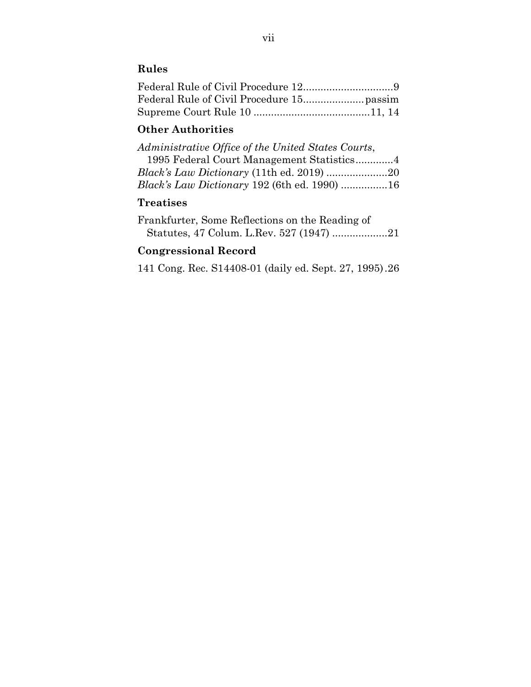# **Rules**

## **Other Authorities**

| Administrative Office of the United States Courts, |  |
|----------------------------------------------------|--|
| 1995 Federal Court Management Statistics4          |  |
| Black's Law Dictionary (11th ed. 2019) 20          |  |
| Black's Law Dictionary 192 (6th ed. 1990) 16       |  |

# **Treatises**

Frankfurter, Some Reflections on the Reading of Statutes, 47 Colum. L.Rev. 527 (1947) ...................21

## **Congressional Record**

141 Cong. Rec. S14408-01 (daily ed. Sept. 27, 1995).26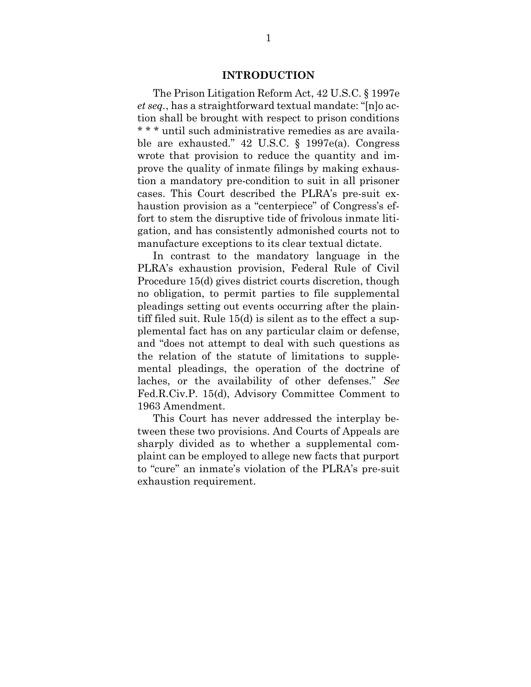#### **INTRODUCTION**

<span id="page-8-0"></span>The Prison Litigation Reform Act, 42 U.S.C. § 1997e *et seq.*, has a straightforward textual mandate: "[n]o action shall be brought with respect to prison conditions \* \* \* until such administrative remedies as are available are exhausted." 42 U.S.C. § 1997e(a). Congress wrote that provision to reduce the quantity and improve the quality of inmate filings by making exhaustion a mandatory pre-condition to suit in all prisoner cases. This Court described the PLRA's pre-suit exhaustion provision as a "centerpiece" of Congress's effort to stem the disruptive tide of frivolous inmate litigation, and has consistently admonished courts not to manufacture exceptions to its clear textual dictate.

In contrast to the mandatory language in the PLRA's exhaustion provision, Federal Rule of Civil Procedure 15(d) gives district courts discretion, though no obligation, to permit parties to file supplemental pleadings setting out events occurring after the plaintiff filed suit. Rule 15(d) is silent as to the effect a supplemental fact has on any particular claim or defense, and "does not attempt to deal with such questions as the relation of the statute of limitations to supplemental pleadings, the operation of the doctrine of laches, or the availability of other defenses." *See* Fed.R.Civ.P. 15(d), Advisory Committee Comment to 1963 Amendment.

This Court has never addressed the interplay between these two provisions. And Courts of Appeals are sharply divided as to whether a supplemental complaint can be employed to allege new facts that purport to "cure" an inmate's violation of the PLRA's pre-suit exhaustion requirement.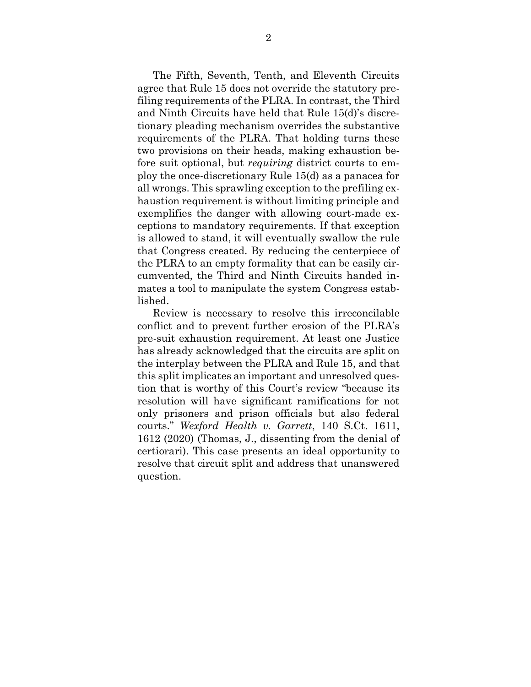The Fifth, Seventh, Tenth, and Eleventh Circuits agree that Rule 15 does not override the statutory prefiling requirements of the PLRA. In contrast, the Third and Ninth Circuits have held that Rule 15(d)'s discretionary pleading mechanism overrides the substantive requirements of the PLRA. That holding turns these two provisions on their heads, making exhaustion before suit optional, but *requiring* district courts to employ the once-discretionary Rule 15(d) as a panacea for all wrongs. This sprawling exception to the prefiling exhaustion requirement is without limiting principle and exemplifies the danger with allowing court-made exceptions to mandatory requirements. If that exception is allowed to stand, it will eventually swallow the rule that Congress created. By reducing the centerpiece of the PLRA to an empty formality that can be easily circumvented, the Third and Ninth Circuits handed inmates a tool to manipulate the system Congress established.

Review is necessary to resolve this irreconcilable conflict and to prevent further erosion of the PLRA's pre-suit exhaustion requirement. At least one Justice has already acknowledged that the circuits are split on the interplay between the PLRA and Rule 15, and that this split implicates an important and unresolved question that is worthy of this Court's review "because its resolution will have significant ramifications for not only prisoners and prison officials but also federal courts." *Wexford Health v. Garrett*, 140 S.Ct. 1611, 1612 (2020) (Thomas, J., dissenting from the denial of certiorari). This case presents an ideal opportunity to resolve that circuit split and address that unanswered question.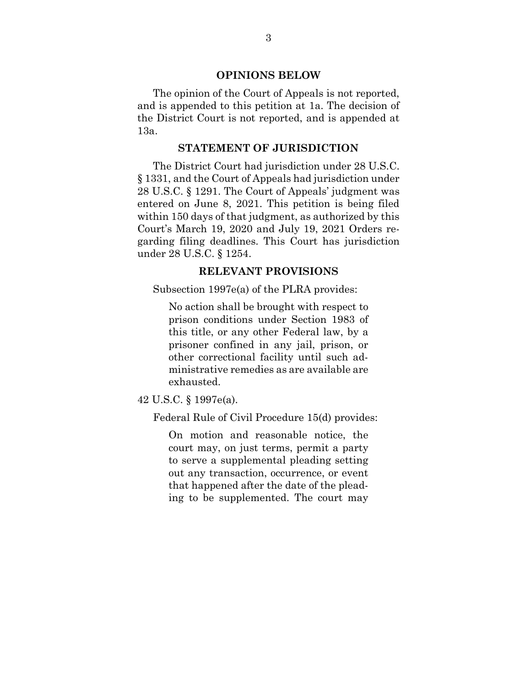#### **OPINIONS BELOW**

<span id="page-10-0"></span>The opinion of the Court of Appeals is not reported, and is appended to this petition at 1a. The decision of the District Court is not reported, and is appended at 13a.

#### **STATEMENT OF JURISDICTION**

<span id="page-10-1"></span>The District Court had jurisdiction under 28 U.S.C. § 1331, and the Court of Appeals had jurisdiction under 28 U.S.C. § 1291. The Court of Appeals' judgment was entered on June 8, 2021. This petition is being filed within 150 days of that judgment, as authorized by this Court's March 19, 2020 and July 19, 2021 Orders regarding filing deadlines. This Court has jurisdiction under 28 U.S.C. § 1254.

#### **RELEVANT PROVISIONS**

<span id="page-10-2"></span>Subsection 1997e(a) of the PLRA provides:

No action shall be brought with respect to prison conditions under Section 1983 of this title, or any other Federal law, by a prisoner confined in any jail, prison, or other correctional facility until such administrative remedies as are available are exhausted.

42 U.S.C. § 1997e(a).

Federal Rule of Civil Procedure 15(d) provides:

On motion and reasonable notice, the court may, on just terms, permit a party to serve a supplemental pleading setting out any transaction, occurrence, or event that happened after the date of the pleading to be supplemented. The court may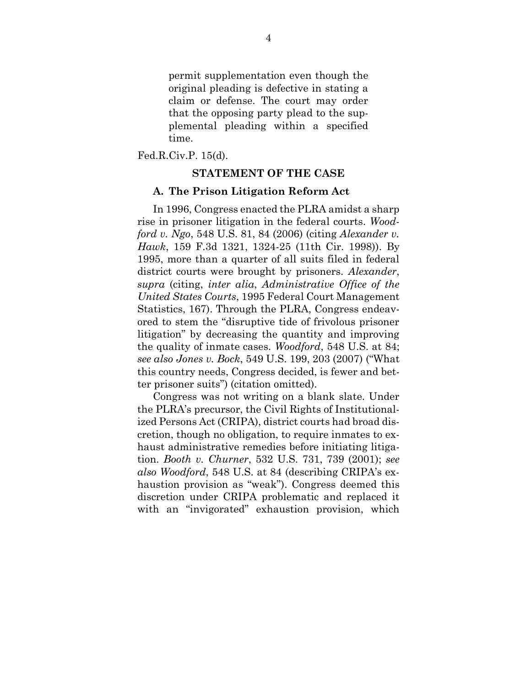permit supplementation even though the original pleading is defective in stating a claim or defense. The court may order that the opposing party plead to the supplemental pleading within a specified time.

<span id="page-11-0"></span>Fed.R.Civ.P. 15(d).

#### **STATEMENT OF THE CASE**

#### <span id="page-11-1"></span>**A. The Prison Litigation Reform Act**

In 1996, Congress enacted the PLRA amidst a sharp rise in prisoner litigation in the federal courts. *Woodford v. Ngo*, 548 U.S. 81, 84 (2006) (citing *Alexander v. Hawk*, 159 F.3d 1321, 1324-25 (11th Cir. 1998)). By 1995, more than a quarter of all suits filed in federal district courts were brought by prisoners. *Alexander*, *supra* (citing, *inter alia*, *Administrative Office of the United States Courts*, 1995 Federal Court Management Statistics, 167). Through the PLRA, Congress endeavored to stem the "disruptive tide of frivolous prisoner litigation" by decreasing the quantity and improving the quality of inmate cases. *Woodford*, 548 U.S. at 84; *see also Jones v. Bock*, 549 U.S. 199, 203 (2007) ("What this country needs, Congress decided, is fewer and better prisoner suits") (citation omitted).

Congress was not writing on a blank slate. Under the PLRA's precursor, the Civil Rights of Institutionalized Persons Act (CRIPA), district courts had broad discretion, though no obligation, to require inmates to exhaust administrative remedies before initiating litigation. *Booth v. Churner*, 532 U.S. 731, 739 (2001); *see also Woodford*, 548 U.S. at 84 (describing CRIPA's exhaustion provision as "weak"). Congress deemed this discretion under CRIPA problematic and replaced it with an "invigorated" exhaustion provision, which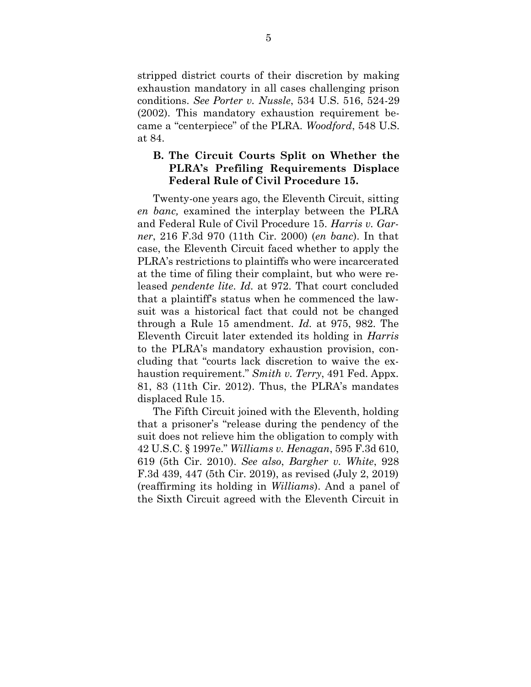stripped district courts of their discretion by making exhaustion mandatory in all cases challenging prison conditions. *See Porter v. Nussle*, 534 U.S. 516, 524-29 (2002). This mandatory exhaustion requirement became a "centerpiece" of the PLRA. *Woodford*, 548 U.S. at 84.

### <span id="page-12-0"></span>**B. The Circuit Courts Split on Whether the PLRA's Prefiling Requirements Displace Federal Rule of Civil Procedure 15.**

Twenty-one years ago, the Eleventh Circuit, sitting *en banc,* examined the interplay between the PLRA and Federal Rule of Civil Procedure 15. *Harris v. Garner*, 216 F.3d 970 (11th Cir. 2000) (*en banc*). In that case, the Eleventh Circuit faced whether to apply the PLRA's restrictions to plaintiffs who were incarcerated at the time of filing their complaint, but who were released *pendente lite*. *Id.* at 972. That court concluded that a plaintiff's status when he commenced the lawsuit was a historical fact that could not be changed through a Rule 15 amendment. *Id.* at 975, 982. The Eleventh Circuit later extended its holding in *Harris* to the PLRA's mandatory exhaustion provision, concluding that "courts lack discretion to waive the exhaustion requirement." *Smith v. Terry*, 491 Fed. Appx. 81, 83 (11th Cir. 2012). Thus, the PLRA's mandates displaced Rule 15.

The Fifth Circuit joined with the Eleventh, holding that a prisoner's "release during the pendency of the suit does not relieve him the obligation to comply with 42 U.S.C. § 1997e." *Williams v. Henagan*, 595 F.3d 610, 619 (5th Cir. 2010). *See also*, *Bargher v. White*, 928 F.3d 439, 447 (5th Cir. 2019), as revised (July 2, 2019) (reaffirming its holding in *Williams*). And a panel of the Sixth Circuit agreed with the Eleventh Circuit in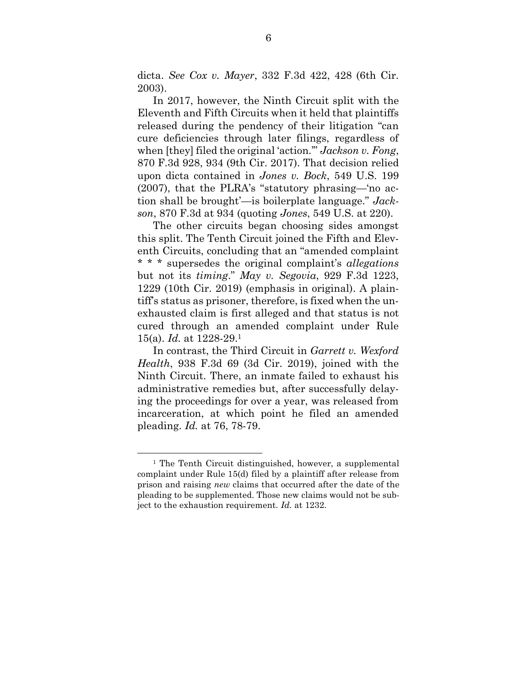dicta. *See Cox v. Mayer*, 332 F.3d 422, 428 (6th Cir. 2003).

In 2017, however, the Ninth Circuit split with the Eleventh and Fifth Circuits when it held that plaintiffs released during the pendency of their litigation "can cure deficiencies through later filings, regardless of when [they] filed the original 'action.'" *Jackson v. Fong*, 870 F.3d 928, 934 (9th Cir. 2017). That decision relied upon dicta contained in *Jones v. Bock*, 549 U.S. 199 (2007), that the PLRA's "statutory phrasing—'no action shall be brought'—is boilerplate language." *Jackson*, 870 F.3d at 934 (quoting *Jones*, 549 U.S. at 220).

The other circuits began choosing sides amongst this split. The Tenth Circuit joined the Fifth and Eleventh Circuits, concluding that an "amended complaint \* \* \* supersedes the original complaint's *allegations*  but not its *timing*." *May v. Segovia*, 929 F.3d 1223, 1229 (10th Cir. 2019) (emphasis in original). A plaintiff's status as prisoner, therefore, is fixed when the unexhausted claim is first alleged and that status is not cured through an amended complaint under Rule 15(a). *Id.* at 1228-29.<sup>1</sup>

In contrast, the Third Circuit in *Garrett v. Wexford Health*, 938 F.3d 69 (3d Cir. 2019), joined with the Ninth Circuit. There, an inmate failed to exhaust his administrative remedies but, after successfully delaying the proceedings for over a year, was released from incarceration, at which point he filed an amended pleading. *Id.* at 76, 78-79.

<sup>1</sup> The Tenth Circuit distinguished, however, a supplemental complaint under Rule 15(d) filed by a plaintiff after release from prison and raising *new* claims that occurred after the date of the pleading to be supplemented. Those new claims would not be subject to the exhaustion requirement. *Id.* at 1232.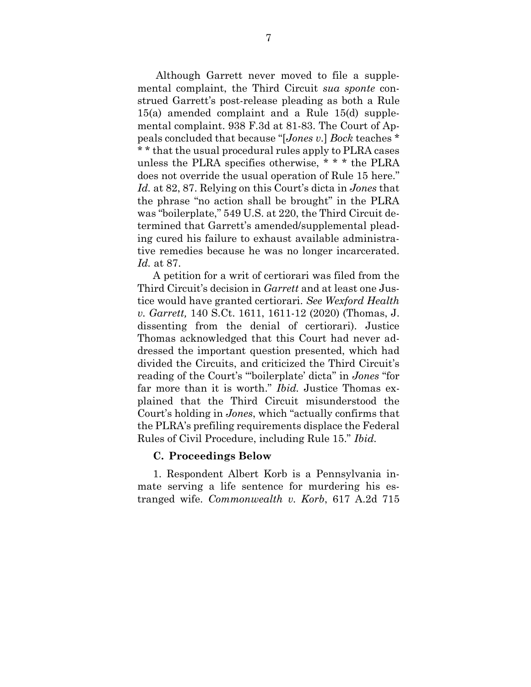Although Garrett never moved to file a supplemental complaint, the Third Circuit *sua sponte* construed Garrett's post-release pleading as both a Rule 15(a) amended complaint and a Rule 15(d) supplemental complaint. 938 F.3d at 81-83. The Court of Appeals concluded that because "[*Jones v.*] *Bock* teaches \* \* \* that the usual procedural rules apply to PLRA cases unless the PLRA specifies otherwise, \* \* \* the PLRA does not override the usual operation of Rule 15 here." *Id.* at 82, 87. Relying on this Court's dicta in *Jones* that the phrase "no action shall be brought" in the PLRA was "boilerplate," 549 U.S. at 220, the Third Circuit determined that Garrett's amended/supplemental pleading cured his failure to exhaust available administrative remedies because he was no longer incarcerated. *Id.* at 87.

A petition for a writ of certiorari was filed from the Third Circuit's decision in *Garrett* and at least one Justice would have granted certiorari. *See Wexford Health v. Garrett,* 140 S.Ct. 1611, 1611-12 (2020) (Thomas, J. dissenting from the denial of certiorari). Justice Thomas acknowledged that this Court had never addressed the important question presented, which had divided the Circuits, and criticized the Third Circuit's reading of the Court's "'boilerplate' dicta" in *Jones* "for far more than it is worth." *Ibid.* Justice Thomas explained that the Third Circuit misunderstood the Court's holding in *Jones*, which "actually confirms that the PLRA's prefiling requirements displace the Federal Rules of Civil Procedure, including Rule 15." *Ibid.*

#### <span id="page-14-0"></span>**C. Proceedings Below**

1. Respondent Albert Korb is a Pennsylvania inmate serving a life sentence for murdering his estranged wife. *Commonwealth v. Korb*, 617 A.2d 715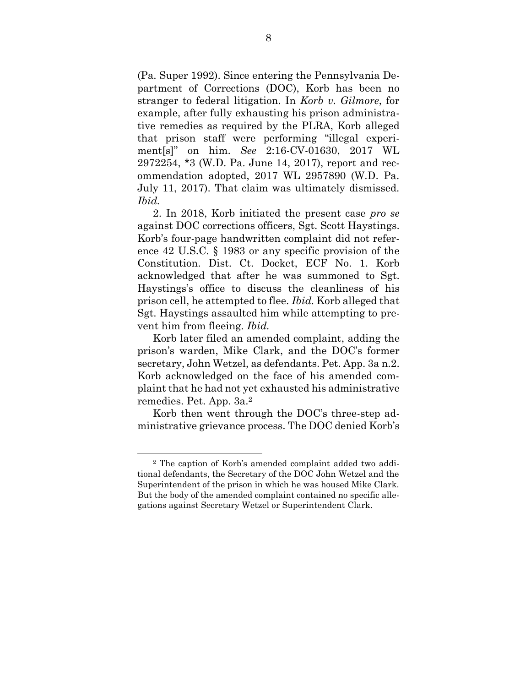(Pa. Super 1992). Since entering the Pennsylvania Department of Corrections (DOC), Korb has been no stranger to federal litigation. In *Korb v. Gilmore*, for example, after fully exhausting his prison administrative remedies as required by the PLRA, Korb alleged that prison staff were performing "illegal experiment[s]" on him. *See* 2:16-CV-01630, 2017 WL 2972254, \*3 (W.D. Pa. June 14, 2017), report and recommendation adopted, 2017 WL 2957890 (W.D. Pa. July 11, 2017). That claim was ultimately dismissed. *Ibid.*

2. In 2018, Korb initiated the present case *pro se* against DOC corrections officers, Sgt. Scott Haystings. Korb's four-page handwritten complaint did not reference 42 U.S.C. § 1983 or any specific provision of the Constitution. Dist. Ct. Docket, ECF No. 1. Korb acknowledged that after he was summoned to Sgt. Haystings's office to discuss the cleanliness of his prison cell, he attempted to flee. *Ibid.* Korb alleged that Sgt. Haystings assaulted him while attempting to prevent him from fleeing. *Ibid.*

Korb later filed an amended complaint, adding the prison's warden, Mike Clark, and the DOC's former secretary, John Wetzel, as defendants. Pet. App. 3a n.2. Korb acknowledged on the face of his amended complaint that he had not yet exhausted his administrative remedies. Pet. App. 3a. 2

Korb then went through the DOC's three-step administrative grievance process. The DOC denied Korb's

<sup>2</sup> The caption of Korb's amended complaint added two additional defendants, the Secretary of the DOC John Wetzel and the Superintendent of the prison in which he was housed Mike Clark. But the body of the amended complaint contained no specific allegations against Secretary Wetzel or Superintendent Clark.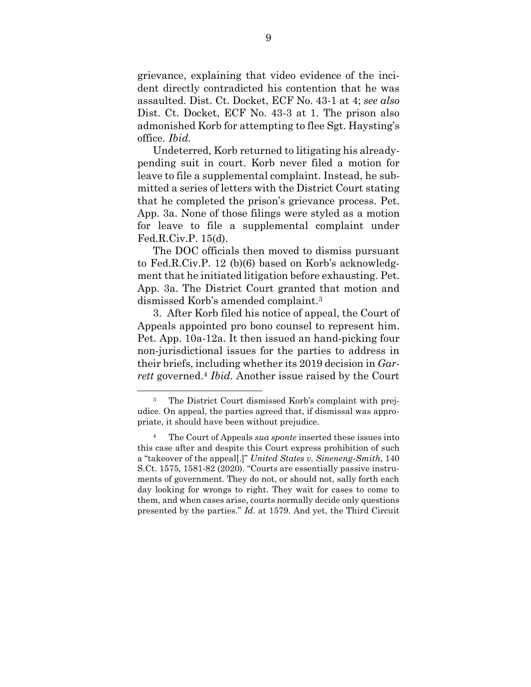grievance, explaining that video evidence of the incident directly contradicted his contention that he was assaulted. Dist. Ct. Docket, ECF No. 43-1 at 4; *see also* Dist. Ct. Docket, ECF No. 43-3 at 1. The prison also admonished Korb for attempting to flee Sgt. Haysting's office. *Ibid.*

Undeterred, Korb returned to litigating his alreadypending suit in court. Korb never filed a motion for leave to file a supplemental complaint. Instead, he submitted a series of letters with the District Court stating that he completed the prison's grievance process. Pet. App. 3a. None of those filings were styled as a motion for leave to file a supplemental complaint under Fed.R.Civ.P. 15(d).

The DOC officials then moved to dismiss pursuant to Fed.R.Civ.P. 12 (b)(6) based on Korb's acknowledgment that he initiated litigation before exhausting. Pet. App. 3a. The District Court granted that motion and dismissed Korb's amended complaint. 3

3. After Korb filed his notice of appeal, the Court of Appeals appointed pro bono counsel to represent him. Pet. App. 10a-12a. It then issued an hand-picking four non-jurisdictional issues for the parties to address in their briefs, including whether its 2019 decision in *Garrett* governed. <sup>4</sup> *Ibid.* Another issue raised by the Court

<sup>3</sup> The District Court dismissed Korb's complaint with prejudice. On appeal, the parties agreed that, if dismissal was appropriate, it should have been without prejudice.

<sup>4</sup> The Court of Appeals *sua sponte* inserted these issues into this case after and despite this Court express prohibition of such a "takeover of the appeal[.]" *United States v. Sineneng-Smith*, 140 S.Ct. 1575, 1581-82 (2020). "Courts are essentially passive instruments of government. They do not, or should not, sally forth each day looking for wrongs to right. They wait for cases to come to them, and when cases arise, courts normally decide only questions presented by the parties." *Id.* at 1579. And yet, the Third Circuit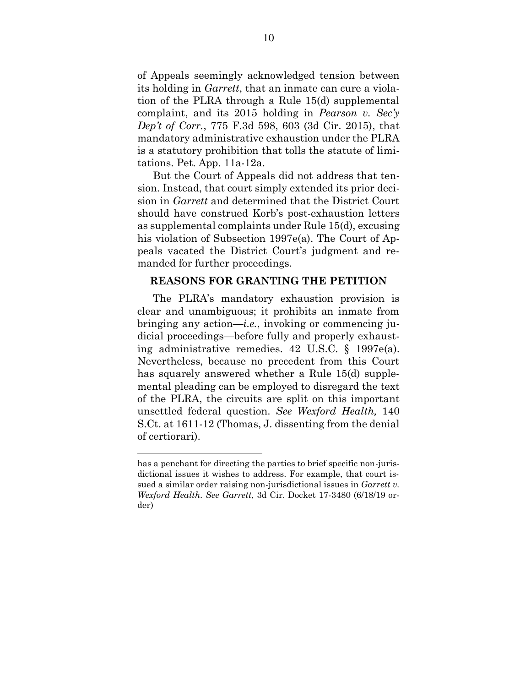of Appeals seemingly acknowledged tension between its holding in *Garrett*, that an inmate can cure a violation of the PLRA through a Rule 15(d) supplemental complaint, and its 2015 holding in *Pearson v. Sec'y Dep't of Corr.*, 775 F.3d 598, 603 (3d Cir. 2015), that mandatory administrative exhaustion under the PLRA is a statutory prohibition that tolls the statute of limitations. Pet. App. 11a-12a.

But the Court of Appeals did not address that tension. Instead, that court simply extended its prior decision in *Garrett* and determined that the District Court should have construed Korb's post-exhaustion letters as supplemental complaints under Rule 15(d), excusing his violation of Subsection 1997e(a). The Court of Appeals vacated the District Court's judgment and remanded for further proceedings.

#### <span id="page-17-0"></span>**REASONS FOR GRANTING THE PETITION**

The PLRA's mandatory exhaustion provision is clear and unambiguous; it prohibits an inmate from bringing any action—*i.e.*, invoking or commencing judicial proceedings—before fully and properly exhausting administrative remedies. 42 U.S.C. § 1997e(a). Nevertheless, because no precedent from this Court has squarely answered whether a Rule 15(d) supplemental pleading can be employed to disregard the text of the PLRA, the circuits are split on this important unsettled federal question. *See Wexford Health,* 140 S.Ct. at 1611-12 (Thomas, J. dissenting from the denial of certiorari).

has a penchant for directing the parties to brief specific non-jurisdictional issues it wishes to address. For example, that court issued a similar order raising non-jurisdictional issues in *Garrett v. Wexford Health. See Garrett*, 3d Cir. Docket 17-3480 (6/18/19 order)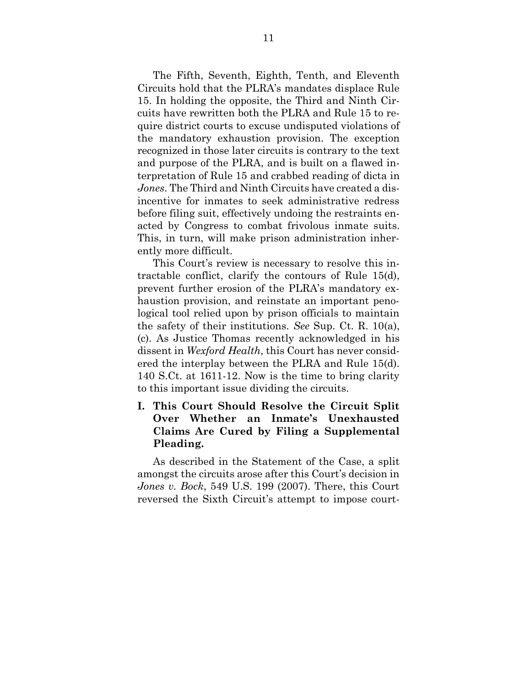The Fifth, Seventh, Eighth, Tenth, and Eleventh Circuits hold that the PLRA's mandates displace Rule 15. In holding the opposite, the Third and Ninth Circuits have rewritten both the PLRA and Rule 15 to require district courts to excuse undisputed violations of the mandatory exhaustion provision. The exception recognized in those later circuits is contrary to the text and purpose of the PLRA, and is built on a flawed interpretation of Rule 15 and crabbed reading of dicta in *Jones*. The Third and Ninth Circuits have created a disincentive for inmates to seek administrative redress before filing suit, effectively undoing the restraints enacted by Congress to combat frivolous inmate suits. This, in turn, will make prison administration inherently more difficult.

This Court's review is necessary to resolve this intractable conflict, clarify the contours of Rule 15(d), prevent further erosion of the PLRA's mandatory exhaustion provision, and reinstate an important penological tool relied upon by prison officials to maintain the safety of their institutions. *See* Sup. Ct. R. 10(a), (c). As Justice Thomas recently acknowledged in his dissent in *Wexford Health*, this Court has never considered the interplay between the PLRA and Rule 15(d). 140 S.Ct. at 1611-12. Now is the time to bring clarity to this important issue dividing the circuits.

## <span id="page-18-0"></span>**I. This Court Should Resolve the Circuit Split Over Whether an Inmate's Unexhausted Claims Are Cured by Filing a Supplemental Pleading.**

As described in the Statement of the Case, a split amongst the circuits arose after this Court's decision in *Jones v. Bock*, 549 U.S. 199 (2007). There, this Court reversed the Sixth Circuit's attempt to impose court-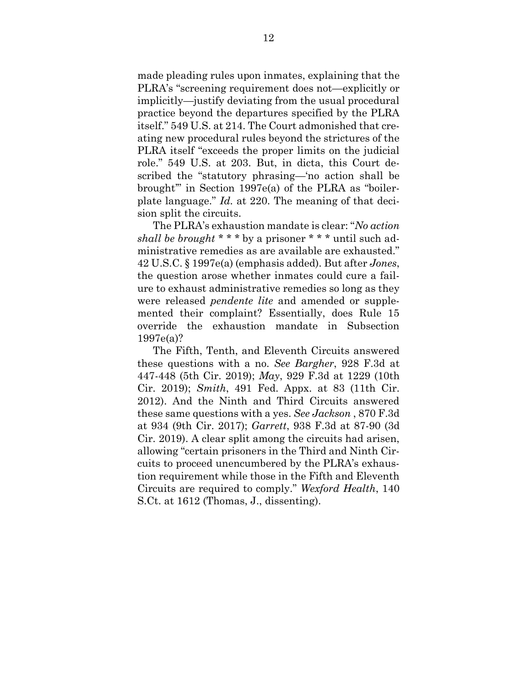made pleading rules upon inmates, explaining that the PLRA's "screening requirement does not—explicitly or implicitly—justify deviating from the usual procedural practice beyond the departures specified by the PLRA itself." 549 U.S. at 214. The Court admonished that creating new procedural rules beyond the strictures of the PLRA itself "exceeds the proper limits on the judicial role." 549 U.S. at 203. But, in dicta, this Court described the "statutory phrasing—'no action shall be brought'" in Section 1997e(a) of the PLRA as "boilerplate language." *Id.* at 220. The meaning of that decision split the circuits.

The PLRA's exhaustion mandate is clear: "*No action shall be brought \* \* \** by a prisoner \* \* \* until such administrative remedies as are available are exhausted." 42 U.S.C. § 1997e(a) (emphasis added). But after *Jones*, the question arose whether inmates could cure a failure to exhaust administrative remedies so long as they were released *pendente lite* and amended or supplemented their complaint? Essentially, does Rule 15 override the exhaustion mandate in Subsection 1997e(a)?

The Fifth, Tenth, and Eleventh Circuits answered these questions with a no. *See Bargher*, 928 F.3d at 447-448 (5th Cir. 2019); *May*, 929 F.3d at 1229 (10th Cir. 2019); *Smith*, 491 Fed. Appx. at 83 (11th Cir. 2012). And the Ninth and Third Circuits answered these same questions with a yes. *See Jackson* , 870 F.3d at 934 (9th Cir. 2017); *Garrett*, 938 F.3d at 87-90 (3d Cir. 2019). A clear split among the circuits had arisen, allowing "certain prisoners in the Third and Ninth Circuits to proceed unencumbered by the PLRA's exhaustion requirement while those in the Fifth and Eleventh Circuits are required to comply." *Wexford Health*, 140 S.Ct. at 1612 (Thomas, J., dissenting).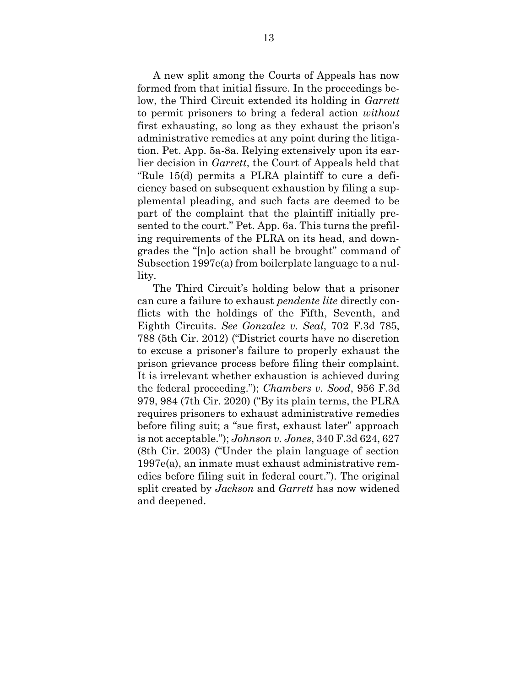A new split among the Courts of Appeals has now formed from that initial fissure. In the proceedings below, the Third Circuit extended its holding in *Garrett* to permit prisoners to bring a federal action *without* first exhausting, so long as they exhaust the prison's administrative remedies at any point during the litigation. Pet. App. 5a-8a. Relying extensively upon its earlier decision in *Garrett*, the Court of Appeals held that "Rule 15(d) permits a PLRA plaintiff to cure a deficiency based on subsequent exhaustion by filing a supplemental pleading, and such facts are deemed to be part of the complaint that the plaintiff initially presented to the court." Pet. App. 6a. This turns the prefiling requirements of the PLRA on its head, and downgrades the "[n]o action shall be brought" command of Subsection 1997e(a) from boilerplate language to a nullity.

The Third Circuit's holding below that a prisoner can cure a failure to exhaust *pendente lite* directly conflicts with the holdings of the Fifth, Seventh, and Eighth Circuits. *See Gonzalez v. Seal*, 702 F.3d 785, 788 (5th Cir. 2012) ("District courts have no discretion to excuse a prisoner's failure to properly exhaust the prison grievance process before filing their complaint. It is irrelevant whether exhaustion is achieved during the federal proceeding."); *Chambers v. Sood*, 956 F.3d 979, 984 (7th Cir. 2020) ("By its plain terms, the PLRA requires prisoners to exhaust administrative remedies before filing suit; a "sue first, exhaust later" approach is not acceptable."); *Johnson v. Jones*, 340 F.3d 624, 627 (8th Cir. 2003) ("Under the plain language of section 1997e(a), an inmate must exhaust administrative remedies before filing suit in federal court."). The original split created by *Jackson* and *Garrett* has now widened and deepened.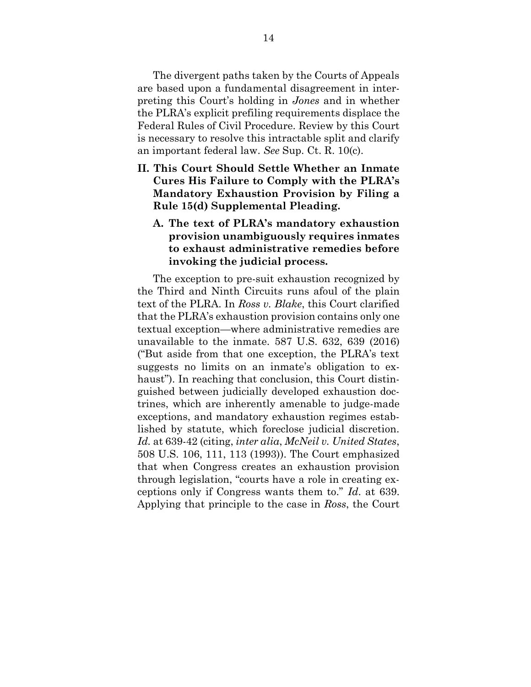The divergent paths taken by the Courts of Appeals are based upon a fundamental disagreement in interpreting this Court's holding in *Jones* and in whether the PLRA's explicit prefiling requirements displace the Federal Rules of Civil Procedure. Review by this Court is necessary to resolve this intractable split and clarify an important federal law. *See* Sup. Ct. R. 10(c).

- <span id="page-21-1"></span><span id="page-21-0"></span>**II. This Court Should Settle Whether an Inmate Cures His Failure to Comply with the PLRA's Mandatory Exhaustion Provision by Filing a Rule 15(d) Supplemental Pleading.**
	- **A. The text of PLRA's mandatory exhaustion provision unambiguously requires inmates to exhaust administrative remedies before invoking the judicial process.**

The exception to pre-suit exhaustion recognized by the Third and Ninth Circuits runs afoul of the plain text of the PLRA. In *Ross v. Blake*, this Court clarified that the PLRA's exhaustion provision contains only one textual exception—where administrative remedies are unavailable to the inmate. 587 U.S. 632, 639 (2016) ("But aside from that one exception, the PLRA's text suggests no limits on an inmate's obligation to exhaust"). In reaching that conclusion, this Court distinguished between judicially developed exhaustion doctrines, which are inherently amenable to judge-made exceptions, and mandatory exhaustion regimes established by statute, which foreclose judicial discretion. *Id.* at 639-42 (citing, *inter alia*, *McNeil v. United States*, 508 U.S. 106, 111, 113 (1993)). The Court emphasized that when Congress creates an exhaustion provision through legislation, "courts have a role in creating exceptions only if Congress wants them to." *Id*. at 639. Applying that principle to the case in *Ross*, the Court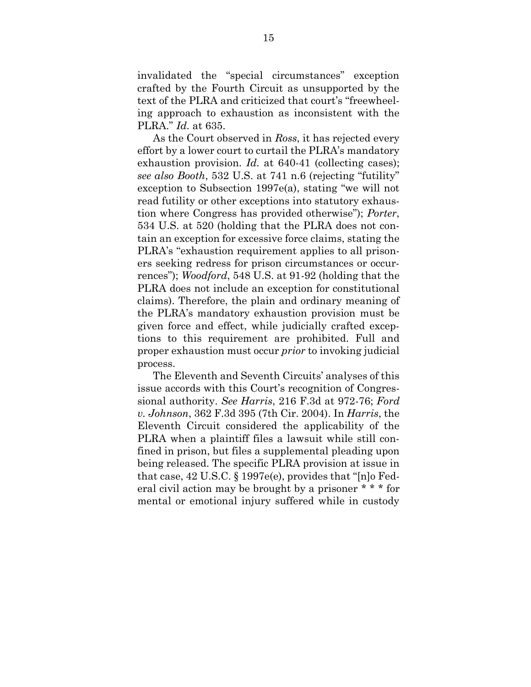invalidated the "special circumstances" exception crafted by the Fourth Circuit as unsupported by the text of the PLRA and criticized that court's "freewheeling approach to exhaustion as inconsistent with the PLRA." *Id.* at 635.

As the Court observed in *Ross*, it has rejected every effort by a lower court to curtail the PLRA's mandatory exhaustion provision. *Id.* at 640-41 (collecting cases); *see also Booth*, 532 U.S. at 741 n.6 (rejecting "futility" exception to Subsection 1997e(a), stating "we will not read futility or other exceptions into statutory exhaustion where Congress has provided otherwise"); *Porter*, 534 U.S. at 520 (holding that the PLRA does not contain an exception for excessive force claims, stating the PLRA's "exhaustion requirement applies to all prisoners seeking redress for prison circumstances or occurrences"); *Woodford*, 548 U.S. at 91-92 (holding that the PLRA does not include an exception for constitutional claims). Therefore, the plain and ordinary meaning of the PLRA's mandatory exhaustion provision must be given force and effect, while judicially crafted exceptions to this requirement are prohibited. Full and proper exhaustion must occur *prior* to invoking judicial process.

The Eleventh and Seventh Circuits' analyses of this issue accords with this Court's recognition of Congressional authority. *See Harris*, 216 F.3d at 972-76; *Ford v. Johnson*, 362 F.3d 395 (7th Cir. 2004). In *Harris*, the Eleventh Circuit considered the applicability of the PLRA when a plaintiff files a lawsuit while still confined in prison, but files a supplemental pleading upon being released. The specific PLRA provision at issue in that case, 42 U.S.C. § 1997e(e), provides that "[n]o Federal civil action may be brought by a prisoner \* \* \* for mental or emotional injury suffered while in custody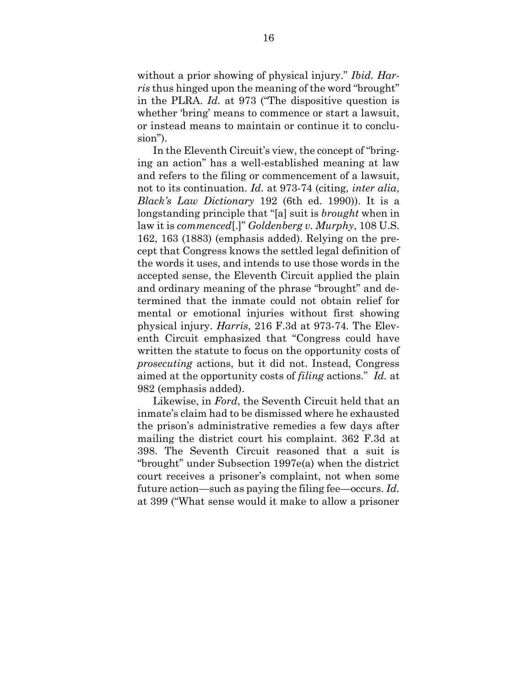without a prior showing of physical injury." *Ibid. Harris* thus hinged upon the meaning of the word "brought" in the PLRA. *Id.* at 973 ("The dispositive question is whether 'bring' means to commence or start a lawsuit, or instead means to maintain or continue it to conclusion").

In the Eleventh Circuit's view, the concept of "bringing an action" has a well-established meaning at law and refers to the filing or commencement of a lawsuit, not to its continuation. *Id.* at 973-74 (citing, *inter alia*, *Black's Law Dictionary* 192 (6th ed. 1990)). It is a longstanding principle that "[a] suit is *brought* when in law it is *commenced*[.]" *Goldenberg v. Murphy*, 108 U.S. 162, 163 (1883) (emphasis added). Relying on the precept that Congress knows the settled legal definition of the words it uses, and intends to use those words in the accepted sense, the Eleventh Circuit applied the plain and ordinary meaning of the phrase "brought" and determined that the inmate could not obtain relief for mental or emotional injuries without first showing physical injury. *Harris*, 216 F.3d at 973-74*.* The Eleventh Circuit emphasized that "Congress could have written the statute to focus on the opportunity costs of *prosecuting* actions, but it did not. Instead, Congress aimed at the opportunity costs of *filing* actions." *Id.* at 982 (emphasis added).

Likewise, in *Ford*, the Seventh Circuit held that an inmate's claim had to be dismissed where he exhausted the prison's administrative remedies a few days after mailing the district court his complaint. 362 F.3d at 398. The Seventh Circuit reasoned that a suit is "brought" under Subsection 1997e(a) when the district court receives a prisoner's complaint, not when some future action—such as paying the filing fee—occurs. *Id.* at 399 ("What sense would it make to allow a prisoner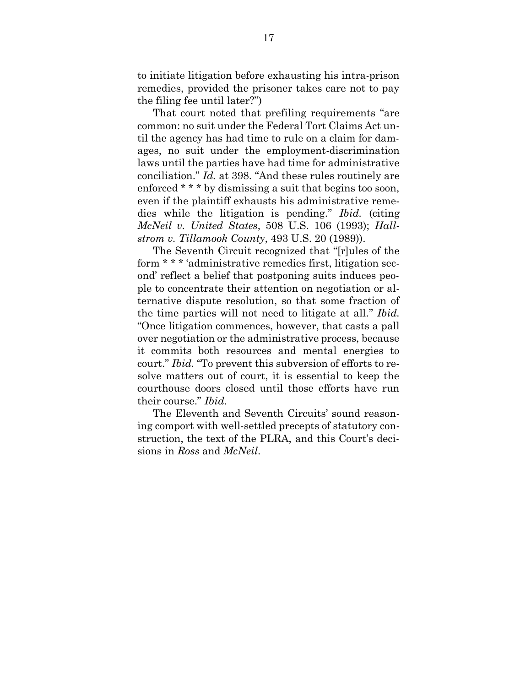to initiate litigation before exhausting his intra-prison remedies, provided the prisoner takes care not to pay the filing fee until later?")

That court noted that prefiling requirements "are common: no suit under the Federal Tort Claims Act until the agency has had time to rule on a claim for damages, no suit under the employment-discrimination laws until the parties have had time for administrative conciliation." *Id.* at 398. "And these rules routinely are enforced \* \* \* by dismissing a suit that begins too soon, even if the plaintiff exhausts his administrative remedies while the litigation is pending." *Ibid.* (citing *McNeil v. United States*, 508 U.S. 106 (1993); *Hallstrom v. Tillamook County*, 493 U.S. 20 (1989)).

The Seventh Circuit recognized that "[r]ules of the form \* \* \* 'administrative remedies first, litigation second' reflect a belief that postponing suits induces people to concentrate their attention on negotiation or alternative dispute resolution, so that some fraction of the time parties will not need to litigate at all." *Ibid.* "Once litigation commences, however, that casts a pall over negotiation or the administrative process, because it commits both resources and mental energies to court." *Ibid.* "To prevent this subversion of efforts to resolve matters out of court, it is essential to keep the courthouse doors closed until those efforts have run their course." *Ibid.*

The Eleventh and Seventh Circuits' sound reasoning comport with well-settled precepts of statutory construction, the text of the PLRA, and this Court's decisions in *Ross* and *McNeil*.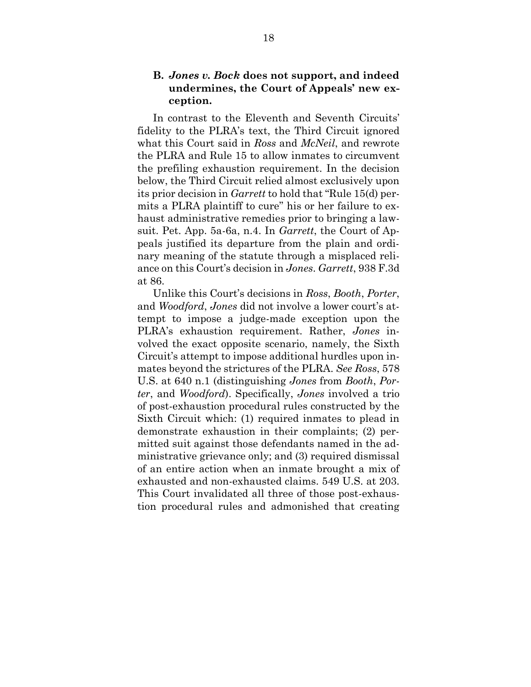## <span id="page-25-0"></span>**B.** *Jones v. Bock* **does not support, and indeed undermines, the Court of Appeals' new exception.**

In contrast to the Eleventh and Seventh Circuits' fidelity to the PLRA's text, the Third Circuit ignored what this Court said in *Ross* and *McNeil*, and rewrote the PLRA and Rule 15 to allow inmates to circumvent the prefiling exhaustion requirement. In the decision below, the Third Circuit relied almost exclusively upon its prior decision in *Garrett* to hold that "Rule 15(d) permits a PLRA plaintiff to cure" his or her failure to exhaust administrative remedies prior to bringing a lawsuit. Pet. App. 5a-6a, n.4. In *Garrett*, the Court of Appeals justified its departure from the plain and ordinary meaning of the statute through a misplaced reliance on this Court's decision in *Jones*. *Garrett*, 938 F.3d at 86.

Unlike this Court's decisions in *Ross*, *Booth*, *Porter*, and *Woodford*, *Jones* did not involve a lower court's attempt to impose a judge-made exception upon the PLRA's exhaustion requirement. Rather, *Jones* involved the exact opposite scenario, namely, the Sixth Circuit's attempt to impose additional hurdles upon inmates beyond the strictures of the PLRA. *See Ross*, 578 U.S. at 640 n.1 (distinguishing *Jones* from *Booth*, *Porter*, and *Woodford*). Specifically, *Jones* involved a trio of post-exhaustion procedural rules constructed by the Sixth Circuit which: (1) required inmates to plead in demonstrate exhaustion in their complaints; (2) permitted suit against those defendants named in the administrative grievance only; and (3) required dismissal of an entire action when an inmate brought a mix of exhausted and non-exhausted claims. 549 U.S. at 203. This Court invalidated all three of those post-exhaustion procedural rules and admonished that creating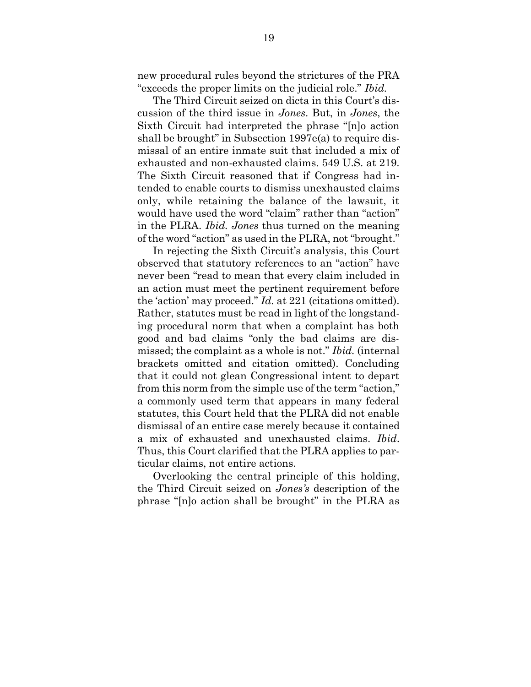new procedural rules beyond the strictures of the PRA "exceeds the proper limits on the judicial role." *Ibid.*

The Third Circuit seized on dicta in this Court's discussion of the third issue in *Jones*. But, in *Jones*, the Sixth Circuit had interpreted the phrase "[n]o action shall be brought" in Subsection 1997e(a) to require dismissal of an entire inmate suit that included a mix of exhausted and non-exhausted claims. 549 U.S. at 219. The Sixth Circuit reasoned that if Congress had intended to enable courts to dismiss unexhausted claims only, while retaining the balance of the lawsuit, it would have used the word "claim" rather than "action" in the PLRA. *Ibid. Jones* thus turned on the meaning of the word "action" as used in the PLRA, not "brought."

In rejecting the Sixth Circuit's analysis, this Court observed that statutory references to an "action" have never been "read to mean that every claim included in an action must meet the pertinent requirement before the 'action' may proceed." *Id.* at 221 (citations omitted). Rather, statutes must be read in light of the longstanding procedural norm that when a complaint has both good and bad claims "only the bad claims are dismissed; the complaint as a whole is not." *Ibid.* (internal brackets omitted and citation omitted). Concluding that it could not glean Congressional intent to depart from this norm from the simple use of the term "action," a commonly used term that appears in many federal statutes, this Court held that the PLRA did not enable dismissal of an entire case merely because it contained a mix of exhausted and unexhausted claims. *Ibid*. Thus, this Court clarified that the PLRA applies to particular claims, not entire actions.

Overlooking the central principle of this holding, the Third Circuit seized on *Jones's* description of the phrase "[n]o action shall be brought" in the PLRA as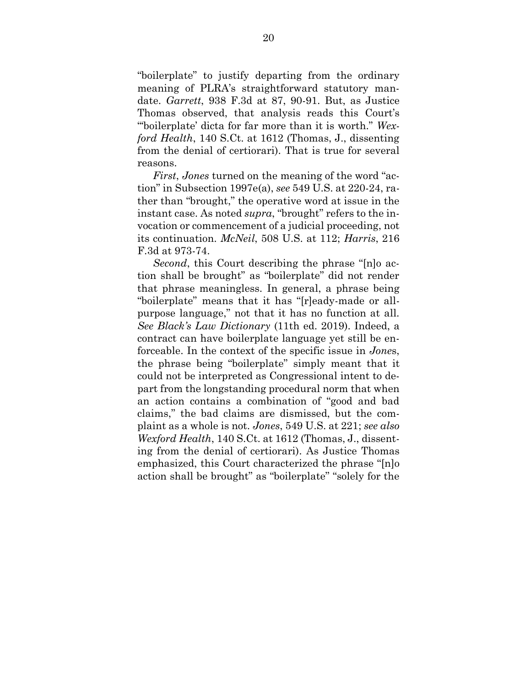"boilerplate" to justify departing from the ordinary meaning of PLRA's straightforward statutory mandate. *Garrett*, 938 F.3d at 87, 90-91. But, as Justice Thomas observed, that analysis reads this Court's "'boilerplate' dicta for far more than it is worth." *Wexford Health*, 140 S.Ct. at 1612 (Thomas, J., dissenting from the denial of certiorari). That is true for several reasons.

*First*, *Jones* turned on the meaning of the word "action" in Subsection 1997e(a), *see* 549 U.S. at 220-24, rather than "brought," the operative word at issue in the instant case. As noted *supra*, "brought" refers to the invocation or commencement of a judicial proceeding, not its continuation. *McNeil*, 508 U.S. at 112; *Harris*, 216 F.3d at 973-74.

*Second*, this Court describing the phrase "[n]o action shall be brought" as "boilerplate" did not render that phrase meaningless. In general, a phrase being "boilerplate" means that it has "[r]eady-made or allpurpose language," not that it has no function at all. *See Black's Law Dictionary* (11th ed. 2019). Indeed, a contract can have boilerplate language yet still be enforceable. In the context of the specific issue in *Jone*s, the phrase being "boilerplate" simply meant that it could not be interpreted as Congressional intent to depart from the longstanding procedural norm that when an action contains a combination of "good and bad claims," the bad claims are dismissed, but the complaint as a whole is not. *Jones*, 549 U.S. at 221; *see also Wexford Health*, 140 S.Ct. at 1612 (Thomas, J., dissenting from the denial of certiorari). As Justice Thomas emphasized, this Court characterized the phrase "[n]o action shall be brought" as "boilerplate" "solely for the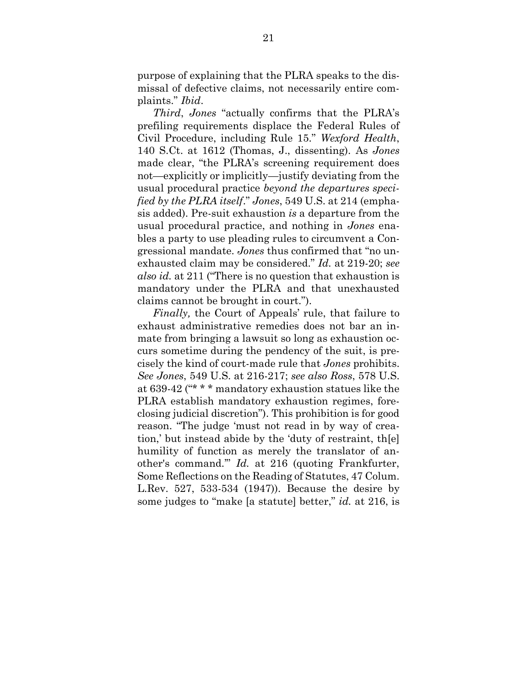purpose of explaining that the PLRA speaks to the dismissal of defective claims, not necessarily entire complaints." *Ibid*.

*Third*, *Jones* "actually confirms that the PLRA's prefiling requirements displace the Federal Rules of Civil Procedure, including Rule 15." *Wexford Health*, 140 S.Ct. at 1612 (Thomas, J., dissenting). As *Jones* made clear, "the PLRA's screening requirement does not—explicitly or implicitly—justify deviating from the usual procedural practice *beyond the departures specified by the PLRA itself*." *Jones*, 549 U.S. at 214 (emphasis added). Pre-suit exhaustion *is* a departure from the usual procedural practice, and nothing in *Jones* enables a party to use pleading rules to circumvent a Congressional mandate. *Jones* thus confirmed that "no unexhausted claim may be considered." *Id.* at 219-20; *see also id.* at 211 ("There is no question that exhaustion is mandatory under the PLRA and that unexhausted claims cannot be brought in court.").

*Finally,* the Court of Appeals' rule, that failure to exhaust administrative remedies does not bar an inmate from bringing a lawsuit so long as exhaustion occurs sometime during the pendency of the suit, is precisely the kind of court-made rule that *Jones* prohibits. *See Jones*, 549 U.S. at 216-217; *see also Ross*, 578 U.S. at 639-42 ("\* \* \* mandatory exhaustion statues like the PLRA establish mandatory exhaustion regimes, foreclosing judicial discretion"). This prohibition is for good reason. "The judge 'must not read in by way of creation,' but instead abide by the 'duty of restraint, th[e] humility of function as merely the translator of another's command.'" *Id.* at 216 (quoting Frankfurter, Some Reflections on the Reading of Statutes, 47 Colum. L.Rev. 527, 533-534 (1947)). Because the desire by some judges to "make [a statute] better," *id.* at 216, is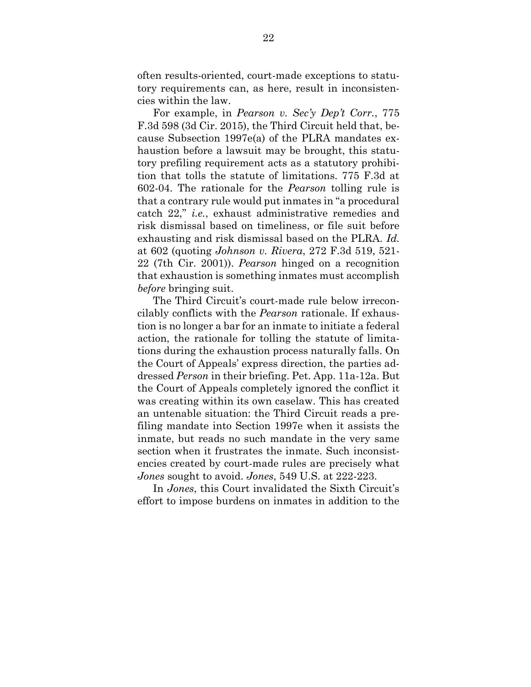often results-oriented, court-made exceptions to statutory requirements can, as here, result in inconsistencies within the law.

For example, in *Pearson v. Sec'y Dep't Corr.*, 775 F.3d 598 (3d Cir. 2015), the Third Circuit held that, because Subsection 1997e(a) of the PLRA mandates exhaustion before a lawsuit may be brought, this statutory prefiling requirement acts as a statutory prohibition that tolls the statute of limitations. 775 F.3d at 602-04. The rationale for the *Pearson* tolling rule is that a contrary rule would put inmates in "a procedural catch 22," *i.e.*, exhaust administrative remedies and risk dismissal based on timeliness, or file suit before exhausting and risk dismissal based on the PLRA. *Id.* at 602 (quoting *Johnson v. Rivera*, 272 F.3d 519, 521- 22 (7th Cir. 2001)). *Pearson* hinged on a recognition that exhaustion is something inmates must accomplish *before* bringing suit.

The Third Circuit's court-made rule below irreconcilably conflicts with the *Pearson* rationale. If exhaustion is no longer a bar for an inmate to initiate a federal action, the rationale for tolling the statute of limitations during the exhaustion process naturally falls. On the Court of Appeals' express direction, the parties addressed *Person* in their briefing. Pet. App. 11a-12a. But the Court of Appeals completely ignored the conflict it was creating within its own caselaw. This has created an untenable situation: the Third Circuit reads a prefiling mandate into Section 1997e when it assists the inmate, but reads no such mandate in the very same section when it frustrates the inmate. Such inconsistencies created by court-made rules are precisely what *Jones* sought to avoid. *Jones*, 549 U.S. at 222-223.

In *Jones*, this Court invalidated the Sixth Circuit's effort to impose burdens on inmates in addition to the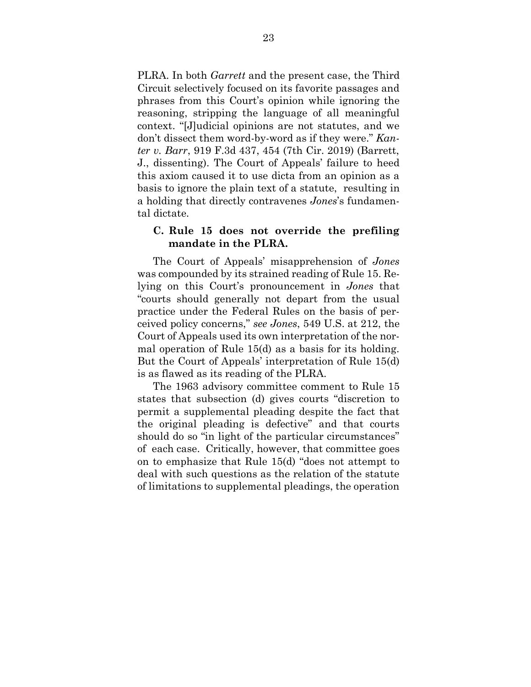PLRA. In both *Garrett* and the present case, the Third Circuit selectively focused on its favorite passages and phrases from this Court's opinion while ignoring the reasoning, stripping the language of all meaningful context. "[J]udicial opinions are not statutes, and we don't dissect them word-by-word as if they were." *Kanter v. Barr*, 919 F.3d 437, 454 (7th Cir. 2019) (Barrett, J., dissenting). The Court of Appeals' failure to heed this axiom caused it to use dicta from an opinion as a basis to ignore the plain text of a statute, resulting in a holding that directly contravenes *Jones*'s fundamental dictate.

### <span id="page-30-0"></span>**C. Rule 15 does not override the prefiling mandate in the PLRA.**

The Court of Appeals' misapprehension of *Jones* was compounded by its strained reading of Rule 15. Relying on this Court's pronouncement in *Jones* that "courts should generally not depart from the usual practice under the Federal Rules on the basis of perceived policy concerns," *see Jones*, 549 U.S. at 212, the Court of Appeals used its own interpretation of the normal operation of Rule 15(d) as a basis for its holding. But the Court of Appeals' interpretation of Rule 15(d) is as flawed as its reading of the PLRA.

The 1963 advisory committee comment to Rule 15 states that subsection (d) gives courts "discretion to permit a supplemental pleading despite the fact that the original pleading is defective" and that courts should do so "in light of the particular circumstances" of each case. Critically, however, that committee goes on to emphasize that Rule 15(d) "does not attempt to deal with such questions as the relation of the statute of limitations to supplemental pleadings, the operation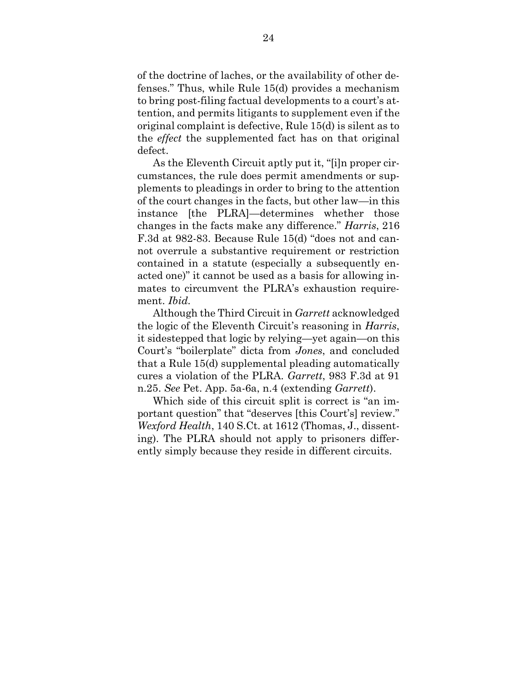of the doctrine of laches, or the availability of other defenses." Thus, while Rule 15(d) provides a mechanism to bring post-filing factual developments to a court's attention, and permits litigants to supplement even if the original complaint is defective, Rule 15(d) is silent as to the *effect* the supplemented fact has on that original defect.

As the Eleventh Circuit aptly put it, "[i]n proper circumstances, the rule does permit amendments or supplements to pleadings in order to bring to the attention of the court changes in the facts, but other law—in this instance [the PLRA]—determines whether those changes in the facts make any difference." *Harris*, 216 F.3d at 982-83. Because Rule 15(d) "does not and cannot overrule a substantive requirement or restriction contained in a statute (especially a subsequently enacted one)" it cannot be used as a basis for allowing inmates to circumvent the PLRA's exhaustion requirement. *Ibid.*

Although the Third Circuit in *Garrett* acknowledged the logic of the Eleventh Circuit's reasoning in *Harris*, it sidestepped that logic by relying—yet again—on this Court's "boilerplate" dicta from *Jones*, and concluded that a Rule 15(d) supplemental pleading automatically cures a violation of the PLRA. *Garrett*, 983 F.3d at 91 n.25. *See* Pet. App. 5a-6a, n.4 (extending *Garrett*).

Which side of this circuit split is correct is "an important question" that "deserves [this Court's] review." *Wexford Health*, 140 S.Ct. at 1612 (Thomas, J., dissenting). The PLRA should not apply to prisoners differently simply because they reside in different circuits.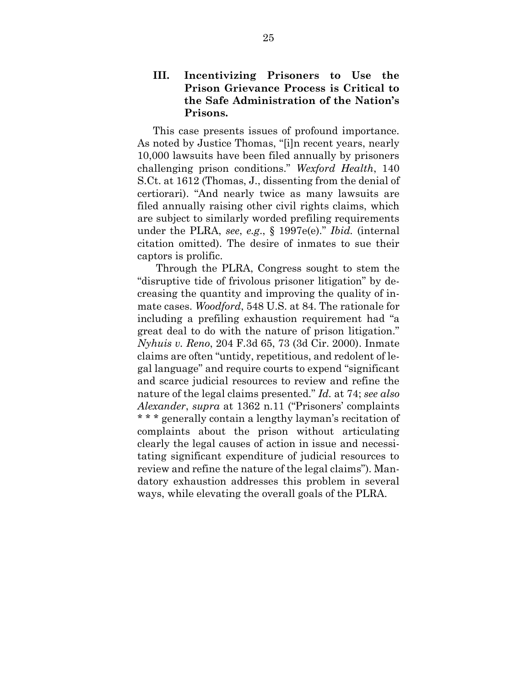## <span id="page-32-0"></span>**III. Incentivizing Prisoners to Use the Prison Grievance Process is Critical to the Safe Administration of the Nation's Prisons.**

This case presents issues of profound importance. As noted by Justice Thomas, "[i]n recent years, nearly 10,000 lawsuits have been filed annually by prisoners challenging prison conditions." *Wexford Health*, 140 S.Ct. at 1612 (Thomas, J., dissenting from the denial of certiorari). "And nearly twice as many lawsuits are filed annually raising other civil rights claims, which are subject to similarly worded prefiling requirements under the PLRA, *see*, *e.g*., § 1997e(e)." *Ibid.* (internal citation omitted). The desire of inmates to sue their captors is prolific.

Through the PLRA, Congress sought to stem the "disruptive tide of frivolous prisoner litigation" by decreasing the quantity and improving the quality of inmate cases. *Woodford*, 548 U.S. at 84. The rationale for including a prefiling exhaustion requirement had "a great deal to do with the nature of prison litigation." *Nyhuis v. Reno*, 204 F.3d 65, 73 (3d Cir. 2000). Inmate claims are often "untidy, repetitious, and redolent of legal language" and require courts to expend "significant and scarce judicial resources to review and refine the nature of the legal claims presented." *Id.* at 74; *see also Alexander*, *supra* at 1362 n.11 ("Prisoners' complaints \* \* \* generally contain a lengthy layman's recitation of complaints about the prison without articulating clearly the legal causes of action in issue and necessitating significant expenditure of judicial resources to review and refine the nature of the legal claims"). Mandatory exhaustion addresses this problem in several ways, while elevating the overall goals of the PLRA.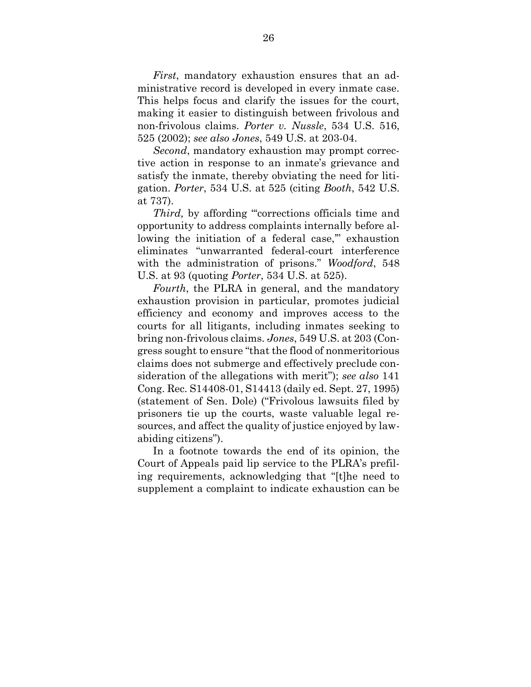*First*, mandatory exhaustion ensures that an administrative record is developed in every inmate case. This helps focus and clarify the issues for the court, making it easier to distinguish between frivolous and non-frivolous claims. *Porter v. Nussle*, 534 U.S. 516, 525 (2002); *see also Jones*, 549 U.S. at 203-04.

*Second*, mandatory exhaustion may prompt corrective action in response to an inmate's grievance and satisfy the inmate, thereby obviating the need for litigation. *Porter*, 534 U.S. at 525 (citing *Booth*, 542 U.S. at 737).

Third, by affording "corrections officials time and opportunity to address complaints internally before allowing the initiation of a federal case," exhaustion eliminates "unwarranted federal-court interference with the administration of prisons." *Woodford*, 548 U.S. at 93 (quoting *Porter*, 534 U.S. at 525).

*Fourth*, the PLRA in general, and the mandatory exhaustion provision in particular, promotes judicial efficiency and economy and improves access to the courts for all litigants, including inmates seeking to bring non-frivolous claims. *Jones*, 549 U.S. at 203 (Congress sought to ensure "that the flood of nonmeritorious claims does not submerge and effectively preclude consideration of the allegations with merit"); *see also* 141 Cong. Rec. S14408-01, S14413 (daily ed. Sept. 27, 1995) (statement of Sen. Dole) ("Frivolous lawsuits filed by prisoners tie up the courts, waste valuable legal resources, and affect the quality of justice enjoyed by lawabiding citizens").

In a footnote towards the end of its opinion, the Court of Appeals paid lip service to the PLRA's prefiling requirements, acknowledging that "[t]he need to supplement a complaint to indicate exhaustion can be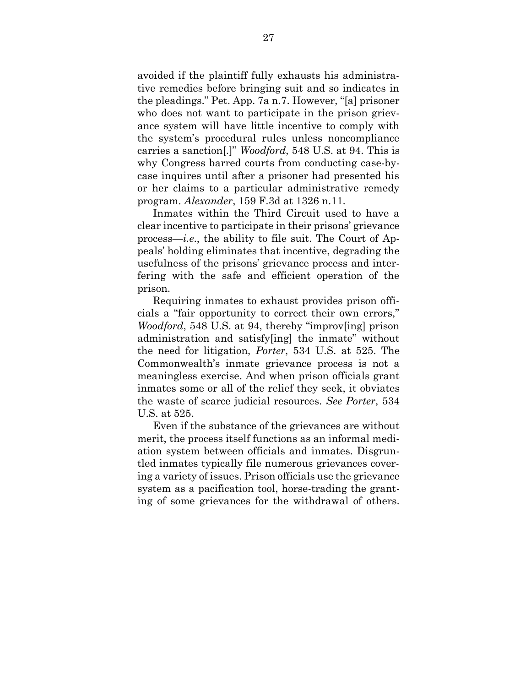avoided if the plaintiff fully exhausts his administrative remedies before bringing suit and so indicates in the pleadings." Pet. App. 7a n.7. However, "[a] prisoner who does not want to participate in the prison grievance system will have little incentive to comply with the system's procedural rules unless noncompliance carries a sanction[.]" *Woodford*, 548 U.S. at 94. This is why Congress barred courts from conducting case-bycase inquires until after a prisoner had presented his or her claims to a particular administrative remedy program. *Alexander*, 159 F.3d at 1326 n.11.

Inmates within the Third Circuit used to have a clear incentive to participate in their prisons' grievance process—*i.e*., the ability to file suit. The Court of Appeals' holding eliminates that incentive, degrading the usefulness of the prisons' grievance process and interfering with the safe and efficient operation of the prison.

Requiring inmates to exhaust provides prison officials a "fair opportunity to correct their own errors," *Woodford*, 548 U.S. at 94, thereby "improv[ing] prison administration and satisfy[ing] the inmate" without the need for litigation, *Porter*, 534 U.S. at 525. The Commonwealth's inmate grievance process is not a meaningless exercise. And when prison officials grant inmates some or all of the relief they seek, it obviates the waste of scarce judicial resources. *See Porter*, 534 U.S. at 525.

Even if the substance of the grievances are without merit, the process itself functions as an informal mediation system between officials and inmates. Disgruntled inmates typically file numerous grievances covering a variety of issues. Prison officials use the grievance system as a pacification tool, horse-trading the granting of some grievances for the withdrawal of others.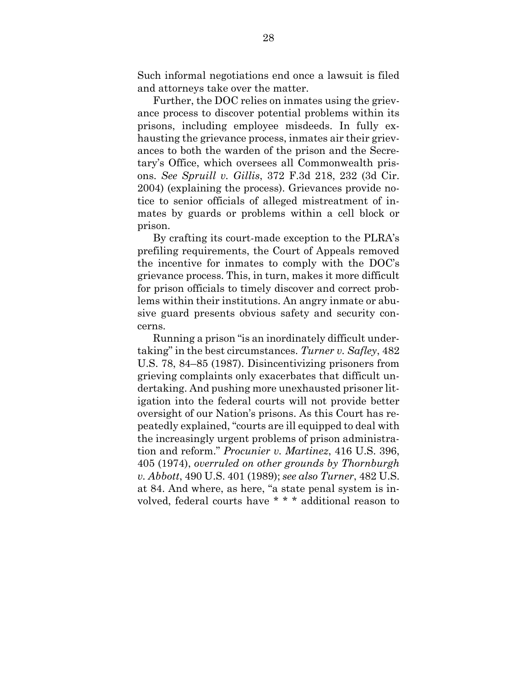Such informal negotiations end once a lawsuit is filed and attorneys take over the matter.

Further, the DOC relies on inmates using the grievance process to discover potential problems within its prisons, including employee misdeeds. In fully exhausting the grievance process, inmates air their grievances to both the warden of the prison and the Secretary's Office, which oversees all Commonwealth prisons. *See Spruill v. Gillis*, 372 F.3d 218, 232 (3d Cir. 2004) (explaining the process). Grievances provide notice to senior officials of alleged mistreatment of inmates by guards or problems within a cell block or prison.

By crafting its court-made exception to the PLRA's prefiling requirements, the Court of Appeals removed the incentive for inmates to comply with the DOC's grievance process. This, in turn, makes it more difficult for prison officials to timely discover and correct problems within their institutions. An angry inmate or abusive guard presents obvious safety and security concerns.

Running a prison "is an inordinately difficult undertaking" in the best circumstances. *Turner v. Safley*, 482 U.S. 78, 84–85 (1987). Disincentivizing prisoners from grieving complaints only exacerbates that difficult undertaking. And pushing more unexhausted prisoner litigation into the federal courts will not provide better oversight of our Nation's prisons. As this Court has repeatedly explained, "courts are ill equipped to deal with the increasingly urgent problems of prison administration and reform." *Procunier v. Martinez*, 416 U.S. 396, 405 (1974), *overruled on other grounds by Thornburgh v. Abbott*, 490 U.S. 401 (1989); *see also Turner*, 482 U.S. at 84. And where, as here, "a state penal system is involved, federal courts have \* \* \* additional reason to